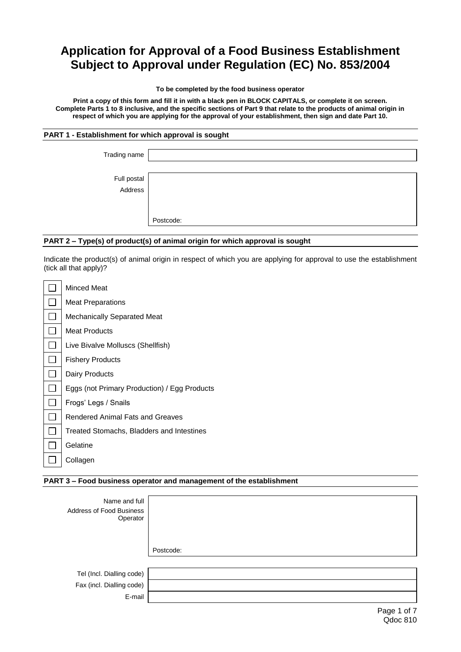# **Application for Approval of a Food Business Establishment Subject to Approval under Regulation (EC) No. 853/2004**

#### **To be completed by the food business operator**

**Print a copy of this form and fill it in with a black pen in BLOCK CAPITALS, or complete it on screen. Complete Parts 1 to 8 inclusive, and the specific sections of Part 9 that relate to the products of animal origin in respect of which you are applying for the approval of your establishment, then sign and date Part 10.**

# **PART 1 - Establishment for which approval is sought**

| Trading name             |           |
|--------------------------|-----------|
|                          |           |
| Full postal<br>  Address |           |
|                          |           |
|                          | Postcode: |

# **PART 2 – Type(s) of product(s) of animal origin for which approval is sought**

Indicate the product(s) of animal origin in respect of which you are applying for approval to use the establishment (tick all that apply)?

| Minced Meat                                  |
|----------------------------------------------|
| <b>Meat Preparations</b>                     |
| Mechanically Separated Meat                  |
| <b>Meat Products</b>                         |
| Live Bivalve Molluscs (Shellfish)            |
| <b>Fishery Products</b>                      |
| Dairy Products                               |
| Eggs (not Primary Production) / Egg Products |
| Frogs' Legs / Snails                         |
| <b>Rendered Animal Fats and Greaves</b>      |
| Treated Stomachs, Bladders and Intestines    |
| Gelatine                                     |
| Collagen                                     |
|                                              |

# **PART 3 – Food business operator and management of the establishment**

| Name and full<br>Address of Food Business<br>Operator |           |
|-------------------------------------------------------|-----------|
|                                                       | Postcode: |
|                                                       |           |
| Tel (Incl. Dialling code)                             |           |
| Fax (incl. Dialling code)                             |           |
| E-mail                                                |           |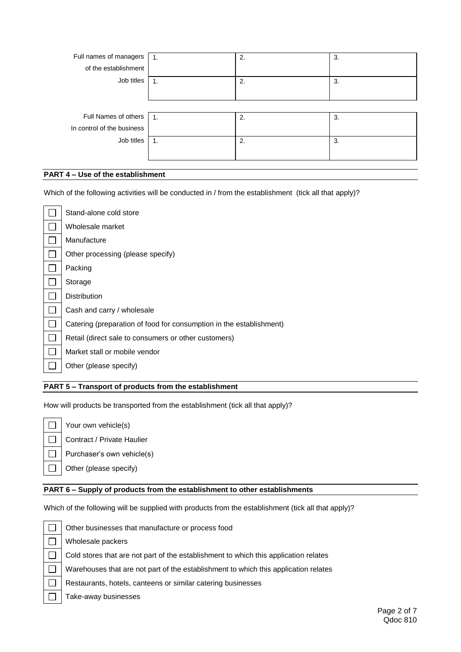| Full names of managers     | $\mathbf{1}$ .   | 2. | 3. |
|----------------------------|------------------|----|----|
| of the establishment       |                  |    |    |
| Job titles                 |                  | 2. | 3. |
|                            |                  |    |    |
|                            |                  |    |    |
| Full Names of others       | $\overline{1}$ . | 2. | 3. |
| In control of the business |                  |    |    |
| Job titles                 | 1.               | 2. | 3. |
|                            |                  |    |    |

# **PART 4 – Use of the establishment**

Which of the following activities will be conducted in / from the establishment (tick all that apply)?

| Stand-alone cold store                                              |
|---------------------------------------------------------------------|
| Wholesale market                                                    |
| Manufacture                                                         |
| Other processing (please specify)                                   |
| Packing                                                             |
| Storage                                                             |
| <b>Distribution</b>                                                 |
| Cash and carry / wholesale                                          |
| Catering (preparation of food for consumption in the establishment) |
| Retail (direct sale to consumers or other customers)                |
| Market stall or mobile vendor                                       |
| Other (please specify)                                              |

# **PART 5 – Transport of products from the establishment**

How will products be transported from the establishment (tick all that apply)?

 $\Box$  $\Box$  $\Box$  $\Box$ 

Contract / Private Haulier

Your own vehicle(s)

Purchaser's own vehicle(s)

Other (please specify)

Wholesale packers

#### **PART 6 – Supply of products from the establishment to other establishments**

Which of the following will be supplied with products from the establishment (tick all that apply)?

 $\Box$  $\Box$  $\Box$  $\Box$  $\Box$ П

Cold stores that are not part of the establishment to which this application relates

Warehouses that are not part of the establishment to which this application relates

Restaurants, hotels, canteens or similar catering businesses

Other businesses that manufacture or process food

Take-away businesses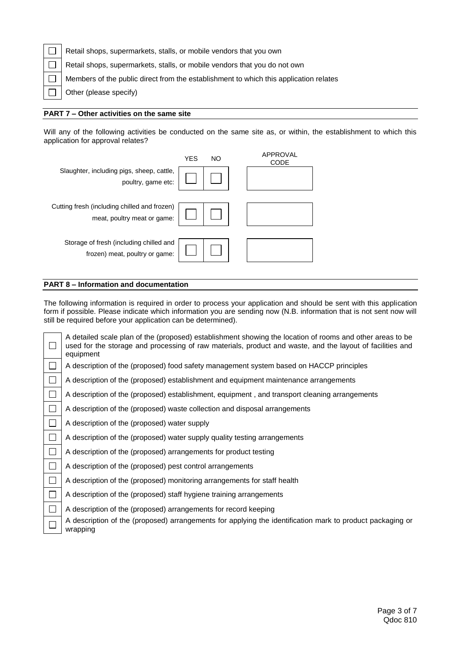| Retail shops, supermarkets, stalls, or mobile vendors that you own                    |
|---------------------------------------------------------------------------------------|
| Retail shops, supermarkets, stalls, or mobile vendors that you do not own             |
| Members of the public direct from the establishment to which this application relates |
| Other (please specify)                                                                |

#### **PART 7 – Other activities on the same site**

Will any of the following activities be conducted on the same site as, or within, the establishment to which this application for approval relates?



# **PART 8 – Information and documentation**

The following information is required in order to process your application and should be sent with this application form if possible. Please indicate which information you are sending now (N.B. information that is not sent now will still be required before your application can be determined).

|        | A detailed scale plan of the (proposed) establishment showing the location of rooms and other areas to be<br>used for the storage and processing of raw materials, product and waste, and the layout of facilities and<br>equipment |
|--------|-------------------------------------------------------------------------------------------------------------------------------------------------------------------------------------------------------------------------------------|
| $\Box$ | A description of the (proposed) food safety management system based on HACCP principles                                                                                                                                             |
| $\Box$ | A description of the (proposed) establishment and equipment maintenance arrangements                                                                                                                                                |
| $\Box$ | A description of the (proposed) establishment, equipment, and transport cleaning arrangements                                                                                                                                       |
| $\Box$ | A description of the (proposed) waste collection and disposal arrangements                                                                                                                                                          |
| $\Box$ | A description of the (proposed) water supply                                                                                                                                                                                        |
| $\Box$ | A description of the (proposed) water supply quality testing arrangements                                                                                                                                                           |
| $\Box$ | A description of the (proposed) arrangements for product testing                                                                                                                                                                    |
| $\Box$ | A description of the (proposed) pest control arrangements                                                                                                                                                                           |
| $\Box$ | A description of the (proposed) monitoring arrangements for staff health                                                                                                                                                            |
|        | A description of the (proposed) staff hygiene training arrangements                                                                                                                                                                 |
| $\Box$ | A description of the (proposed) arrangements for record keeping                                                                                                                                                                     |
|        | A description of the (proposed) arrangements for applying the identification mark to product packaging or<br>wrapping                                                                                                               |
|        |                                                                                                                                                                                                                                     |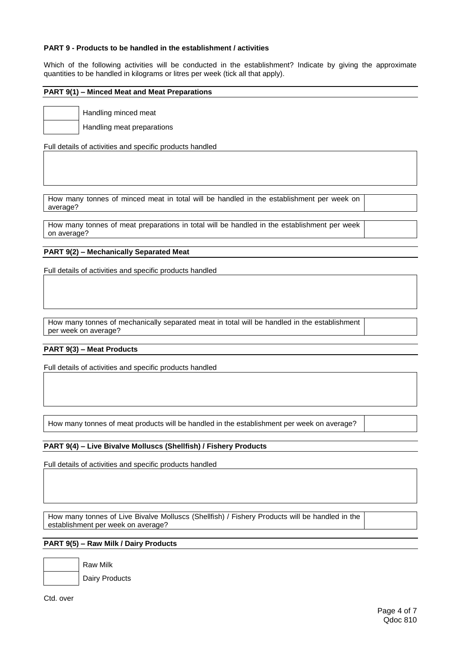### **PART 9 - Products to be handled in the establishment / activities**

Which of the following activities will be conducted in the establishment? Indicate by giving the approximate quantities to be handled in kilograms or litres per week (tick all that apply).

# **PART 9(1) – Minced Meat and Meat Preparations**

Handling minced meat

Handling meat preparations

Full details of activities and specific products handled

How many tonnes of minced meat in total will be handled in the establishment per week on average?

How many tonnes of meat preparations in total will be handled in the establishment per week on average?

#### **PART 9(2) – Mechanically Separated Meat**

Full details of activities and specific products handled

How many tonnes of mechanically separated meat in total will be handled in the establishment per week on average?

#### **PART 9(3) – Meat Products**

Full details of activities and specific products handled

How many tonnes of meat products will be handled in the establishment per week on average?

# **PART 9(4) – Live Bivalve Molluscs (Shellfish) / Fishery Products**

Full details of activities and specific products handled

How many tonnes of Live Bivalve Molluscs (Shellfish) / Fishery Products will be handled in the establishment per week on average?

# **PART 9(5) – Raw Milk / Dairy Products**

Raw Milk

Dairy Products

Ctd. over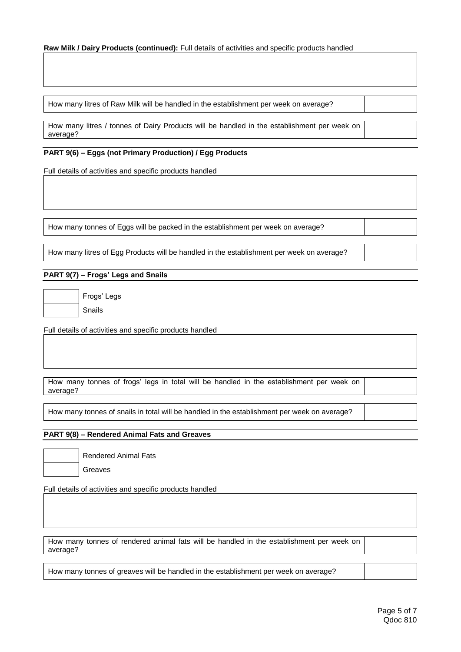#### **Raw Milk / Dairy Products (continued):** Full details of activities and specific products handled

How many litres of Raw Milk will be handled in the establishment per week on average?

How many litres / tonnes of Dairy Products will be handled in the establishment per week on average?

# **PART 9(6) – Eggs (not Primary Production) / Egg Products**

Full details of activities and specific products handled

How many tonnes of Eggs will be packed in the establishment per week on average?

How many litres of Egg Products will be handled in the establishment per week on average?

# **PART 9(7) – Frogs' Legs and Snails**

Frogs' Legs Snails

Full details of activities and specific products handled

|          |  |  |  |  |  | How many tonnes of frogs' legs in total will be handled in the establishment per week on |  |  |
|----------|--|--|--|--|--|------------------------------------------------------------------------------------------|--|--|
| average? |  |  |  |  |  |                                                                                          |  |  |

How many tonnes of snails in total will be handled in the establishment per week on average?

### **PART 9(8) – Rendered Animal Fats and Greaves**

Rendered Animal Fats Greaves

Full details of activities and specific products handled

How many tonnes of rendered animal fats will be handled in the establishment per week on average?

How many tonnes of greaves will be handled in the establishment per week on average?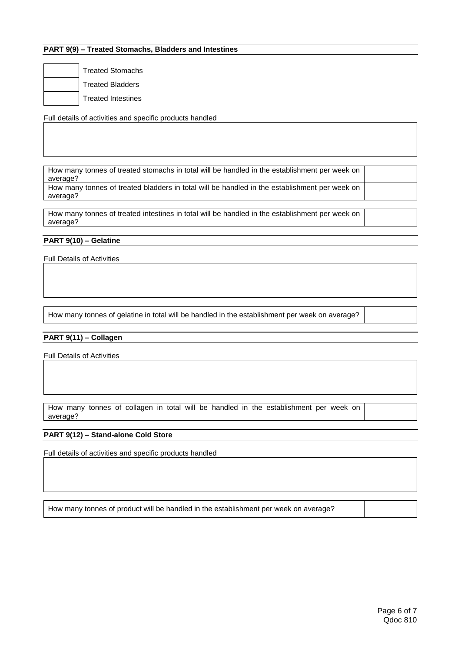# **PART 9(9) – Treated Stomachs, Bladders and Intestines**

Treated Stomachs Treated Bladders Treated Intestines

Full details of activities and specific products handled

How many tonnes of treated stomachs in total will be handled in the establishment per week on average?

How many tonnes of treated bladders in total will be handled in the establishment per week on average?

How many tonnes of treated intestines in total will be handled in the establishment per week on average?

## **PART 9(10) – Gelatine**

Full Details of Activities

How many tonnes of gelatine in total will be handled in the establishment per week on average?

#### **PART 9(11) – Collagen**

Full Details of Activities

How many tonnes of collagen in total will be handled in the establishment per week on average?

#### **PART 9(12) – Stand-alone Cold Store**

Full details of activities and specific products handled

How many tonnes of product will be handled in the establishment per week on average?